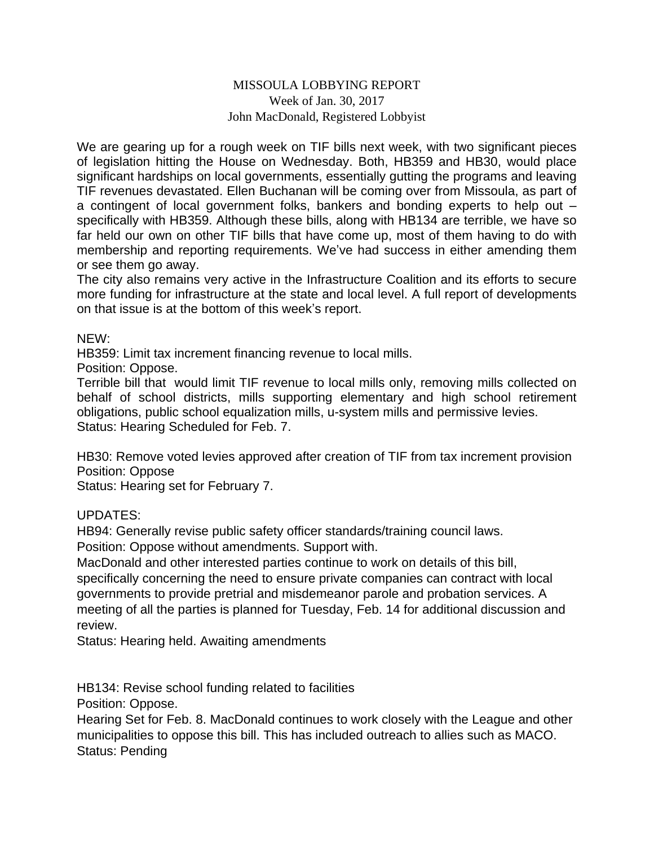## MISSOULA LOBBYING REPORT Week of Jan. 30, 2017 John MacDonald, Registered Lobbyist

We are gearing up for a rough week on TIF bills next week, with two significant pieces of legislation hitting the House on Wednesday. Both, HB359 and HB30, would place significant hardships on local governments, essentially gutting the programs and leaving TIF revenues devastated. Ellen Buchanan will be coming over from Missoula, as part of a contingent of local government folks, bankers and bonding experts to help out – specifically with HB359. Although these bills, along with HB134 are terrible, we have so far held our own on other TIF bills that have come up, most of them having to do with membership and reporting requirements. We've had success in either amending them or see them go away.

The city also remains very active in the Infrastructure Coalition and its efforts to secure more funding for infrastructure at the state and local level. A full report of developments on that issue is at the bottom of this week's report.

NEW:

HB359: Limit tax increment financing revenue to local mills.

Position: Oppose.

Terrible bill that would limit TIF revenue to local mills only, removing mills collected on behalf of school districts, mills supporting elementary and high school retirement obligations, public school equalization mills, u-system mills and permissive levies. Status: Hearing Scheduled for Feb. 7.

HB30: Remove voted levies approved after creation of TIF from tax increment provision Position: Oppose

Status: Hearing set for February 7.

UPDATES:

HB94: Generally revise public safety officer standards/training council laws.

Position: Oppose without amendments. Support with.

MacDonald and other interested parties continue to work on details of this bill, specifically concerning the need to ensure private companies can contract with local governments to provide pretrial and misdemeanor parole and probation services. A meeting of all the parties is planned for Tuesday, Feb. 14 for additional discussion and review.

Status: Hearing held. Awaiting amendments

HB134: Revise school funding related to facilities

Position: Oppose.

Hearing Set for Feb. 8. MacDonald continues to work closely with the League and other municipalities to oppose this bill. This has included outreach to allies such as MACO. Status: Pending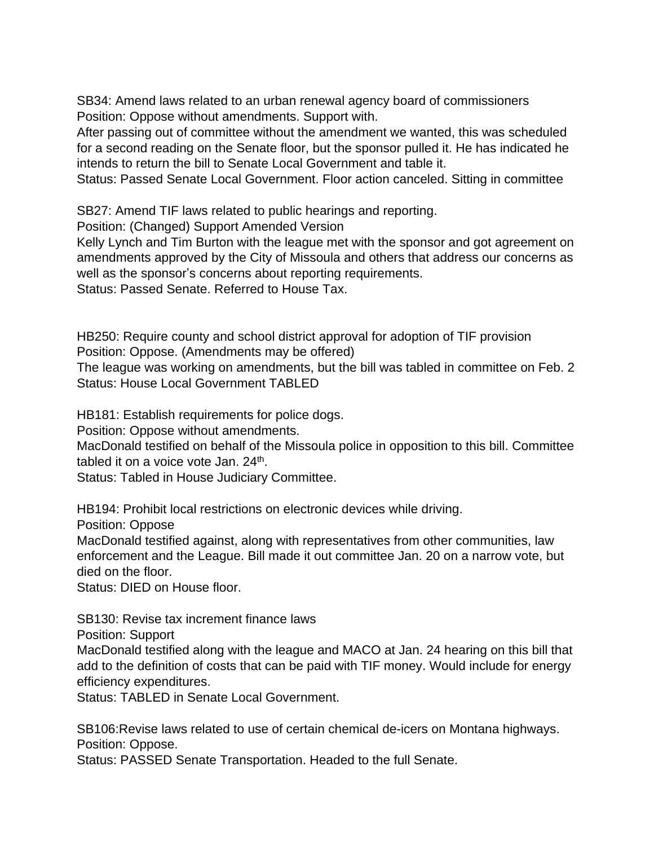SB34: Amend laws related to an urban renewal agency board of commissioners Position: Oppose without amendments. Support with.

After passing out of committee without the amendment we wanted, this was scheduled for a second reading on the Senate floor, but the sponsor pulled it. He has indicated he intends to return the bill to Senate Local Government and table it.

Status: Passed Senate Local Government. Floor action canceled. Sitting in committee

SB27: Amend TIF laws related to public hearings and reporting.

Position: (Changed) Support Amended Version

Kelly Lynch and Tim Burton with the league met with the sponsor and got agreement on amendments approved by the City of Missoula and others that address our concerns as well as the sponsor's concerns about reporting requirements.

Status: Passed Senate. Referred to House Tax.

HB250: Require county and school district approval for adoption of TIF provision Position: Oppose. (Amendments may be offered)

The league was working on amendments, but the bill was tabled in committee on Feb. 2 Status: House Local Government TABLED

HB181: Establish requirements for police dogs.

Position: Oppose without amendments.

MacDonald testified on behalf of the Missoula police in opposition to this bill. Committee tabled it on a voice vote Jan. 24<sup>th</sup>.

Status: Tabled in House Judiciary Committee.

HB194: Prohibit local restrictions on electronic devices while driving.

Position: Oppose

MacDonald testified against, along with representatives from other communities, law enforcement and the League. Bill made it out committee Jan. 20 on a narrow vote, but died on the floor.

Status: DIED on House floor.

SB130: Revise tax increment finance laws

Position: Support

MacDonald testified along with the league and MACO at Jan. 24 hearing on this bill that add to the definition of costs that can be paid with TIF money. Would include for energy efficiency expenditures.

Status: TABLED in Senate Local Government.

SB106:Revise laws related to use of certain chemical de-icers on Montana highways. Position: Oppose.

Status: PASSED Senate Transportation. Headed to the full Senate.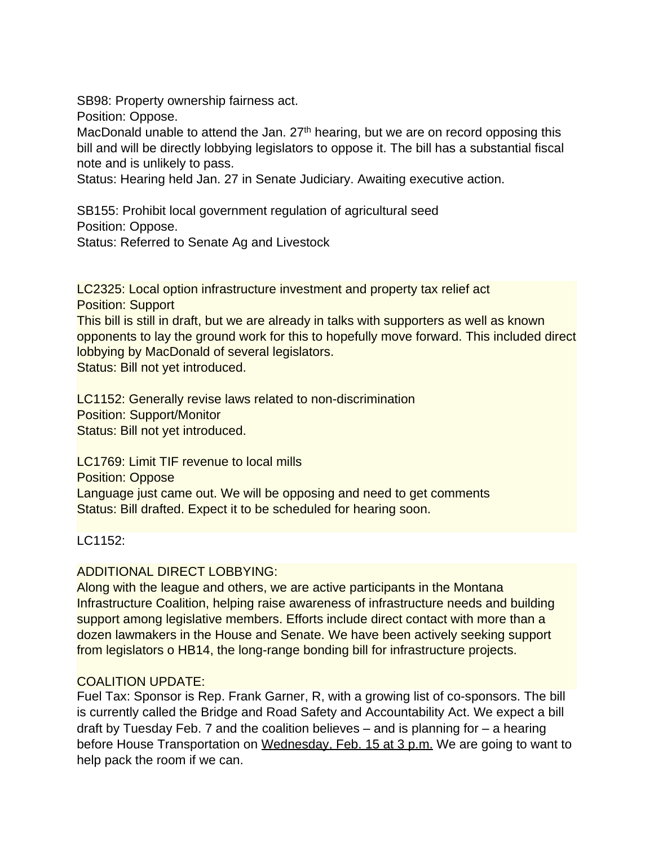SB98: Property ownership fairness act.

Position: Oppose.

MacDonald unable to attend the Jan.  $27<sup>th</sup>$  hearing, but we are on record opposing this bill and will be directly lobbying legislators to oppose it. The bill has a substantial fiscal note and is unlikely to pass.

Status: Hearing held Jan. 27 in Senate Judiciary. Awaiting executive action.

SB155: Prohibit local government regulation of agricultural seed Position: Oppose. Status: Referred to Senate Ag and Livestock

LC2325: Local option infrastructure investment and property tax relief act Position: Support

This bill is still in draft, but we are already in talks with supporters as well as known opponents to lay the ground work for this to hopefully move forward. This included direct lobbying by MacDonald of several legislators.

Status: Bill not yet introduced.

LC1152: Generally revise laws related to non-discrimination Position: Support/Monitor Status: Bill not yet introduced.

LC1769: Limit TIF revenue to local mills Position: Oppose Language just came out. We will be opposing and need to get comments Status: Bill drafted. Expect it to be scheduled for hearing soon.

LC1152:

## ADDITIONAL DIRECT LOBBYING:

Along with the league and others, we are active participants in the Montana Infrastructure Coalition, helping raise awareness of infrastructure needs and building support among legislative members. Efforts include direct contact with more than a dozen lawmakers in the House and Senate. We have been actively seeking support from legislators o HB14, the long-range bonding bill for infrastructure projects.

## COALITION UPDATE:

Fuel Tax: Sponsor is Rep. Frank Garner, R, with a growing list of co-sponsors. The bill is currently called the Bridge and Road Safety and Accountability Act. We expect a bill draft by Tuesday Feb. 7 and the coalition believes – and is planning for – a hearing before House Transportation on Wednesday, Feb. 15 at 3 p.m. We are going to want to help pack the room if we can.